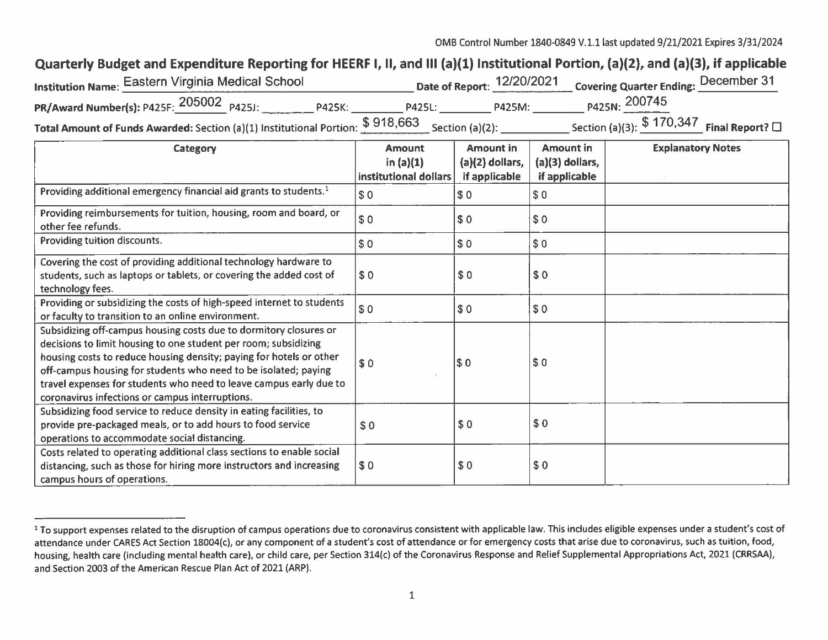0MB Control Number 1840-0849 V.1.1 last updated 9/21/2021 Expires 3/31/2024

## Quarterly Budget and Expenditure Reporting for HEERF I, II, and III (a)(1) Institutional Portion, (a)(2), and (a)(3), if applicable

| 'nstitution Name: Eastern Virginia Medical School                                                         |               |        | Date of Report: 12/20/2021 Covering Quarter Ending: December 31 |  |
|-----------------------------------------------------------------------------------------------------------|---------------|--------|-----------------------------------------------------------------|--|
| <b>P425K:</b>                                                                                             | <b>P425L:</b> | P425M: | P425N: 200745                                                   |  |
| Total Amount of Funds Awarded: Section (a)(1) Institutional Portion: $$918,663$ $\_$ Section (a)(2): $\_$ |               |        | Section (a)(3): $$170,347$ Final Report? $\square$              |  |

| Category                                                                                                                                                                                                                                                                                                                                                                                                | <b>Amount</b><br>in $(a)(1)$<br>institutional dollars | <b>Amount in</b><br>$(a)(2)$ dollars,<br>if applicable | <b>Amount in</b><br>$(a)(3)$ dollars,<br>if applicable | <b>Explanatory Notes</b> |
|---------------------------------------------------------------------------------------------------------------------------------------------------------------------------------------------------------------------------------------------------------------------------------------------------------------------------------------------------------------------------------------------------------|-------------------------------------------------------|--------------------------------------------------------|--------------------------------------------------------|--------------------------|
| Providing additional emergency financial aid grants to students. <sup>1</sup>                                                                                                                                                                                                                                                                                                                           | \$0                                                   | \$0                                                    | \$0                                                    |                          |
| Providing reimbursements for tuition, housing, room and board, or<br>other fee refunds.                                                                                                                                                                                                                                                                                                                 | \$0                                                   | \$0                                                    | \$0                                                    |                          |
| Providing tuition discounts.                                                                                                                                                                                                                                                                                                                                                                            | \$0                                                   | \$0                                                    | \$0                                                    |                          |
| Covering the cost of providing additional technology hardware to<br>students, such as laptops or tablets, or covering the added cost of<br>technology fees.                                                                                                                                                                                                                                             | \$0                                                   | \$0                                                    | \$0                                                    |                          |
| Providing or subsidizing the costs of high-speed internet to students<br>or faculty to transition to an online environment.                                                                                                                                                                                                                                                                             | \$0                                                   | \$0                                                    | \$0                                                    |                          |
| Subsidizing off-campus housing costs due to dormitory closures or<br>decisions to limit housing to one student per room; subsidizing<br>housing costs to reduce housing density; paying for hotels or other<br>off-campus housing for students who need to be isolated; paying<br>travel expenses for students who need to leave campus early due to<br>coronavirus infections or campus interruptions. | \$0                                                   | \$0                                                    | \$0                                                    |                          |
| Subsidizing food service to reduce density in eating facilities, to<br>provide pre-packaged meals, or to add hours to food service<br>operations to accommodate social distancing.                                                                                                                                                                                                                      | \$0                                                   | \$0                                                    | \$0                                                    |                          |
| Costs related to operating additional class sections to enable social<br>distancing, such as those for hiring more instructors and increasing<br>campus hours of operations.                                                                                                                                                                                                                            | \$0                                                   | \$0                                                    | \$0                                                    |                          |

<sup>&</sup>lt;sup>1</sup> To support expenses related to the disruption of campus operations due to coronavirus consistent with applicable law. This includes eligible expenses under a student's cost of attendance under CARES Act Section 18004(c), or any component of a student's cost of attendance or for emergency costs that arise due to coronavirus, such as tuition, food, housing, health care (including mental health care), or child care, per Section 314(c) of the Coronavirus Response and Relief Supplemental Appropriations Act, 2021 (CRRSAA), and Section 2003 of the American Rescue Plan Act of 2021 (ARP) .